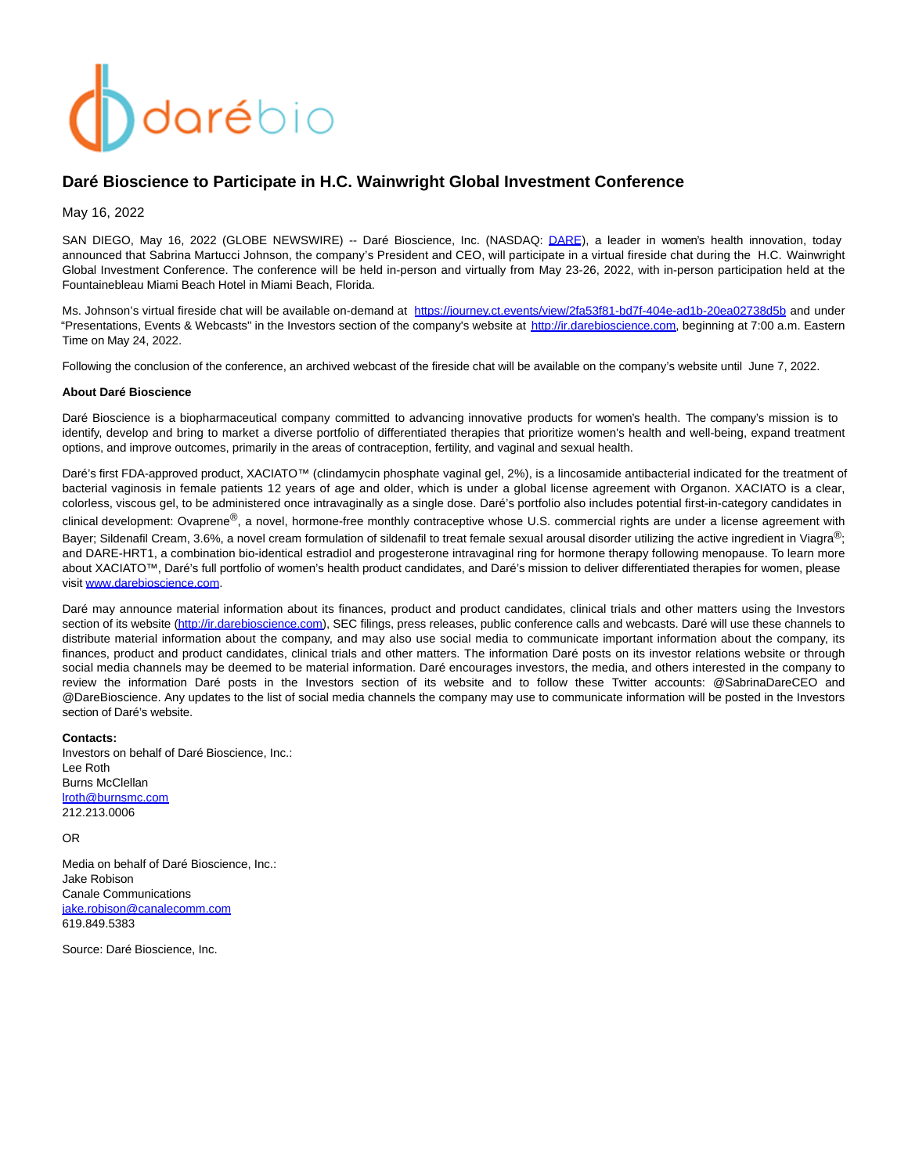# darébio

# **Daré Bioscience to Participate in H.C. Wainwright Global Investment Conference**

May 16, 2022

SAN DIEGO, May 16, 2022 (GLOBE NEWSWIRE) -- Daré Bioscience, Inc. (NASDAQ: [DARE\)](https://www.globenewswire.com/Tracker?data=-x4C_aiRJieQEMnffyNUYwOga8wkC-6hjFyQGGJm4X4lX6OA-WoPzFyPFeyg2LMaiilBis7v4LZfXzxncjyq0DoIlsmKByQPoHCrlWOD9cdy4i2egbbhIKIaV7-aO1xos5kSh1NrtvjeZbomeSlUc07jnGiPzHuNTDoBhPt22l25N9pKhteiObFJkMsaUSjQtS3vWYEjQYvIri9zv5myuTCnfN-8pA-xC4-d1XCJ9rirZxha2KIUUxdG1B0qlzBR), a leader in women's health innovation, today announced that Sabrina Martucci Johnson, the company's President and CEO, will participate in a virtual fireside chat during the H.C. Wainwright Global Investment Conference. The conference will be held in-person and virtually from May 23-26, 2022, with in-person participation held at the Fountainebleau Miami Beach Hotel in Miami Beach, Florida.

Ms. Johnson's virtual fireside chat will be available on-demand at [https://journey.ct.events/view/2fa53f81-bd7f-404e-ad1b-20ea02738d5b](https://www.globenewswire.com/Tracker?data=LJ53TaUTAC-54jsIOBZMYCzd1wnFjLxN22Ebxar7infGJAqnOzQMsBdPID2WmXJ_rNSFgYKD_0yCpxRpNKn19PlMvJqU0avoIr0vnCWgzvp6XbJepweuMjExrqNIvacHU_1NqDRZNgErdr6qxgFdwLmdXrWDheIEK0mZLvAAh9xfXIw-TPsyOy4LrviwLmM-f28K8S8OXQENIf_XTxOIeg==) and under "Presentations, Events & Webcasts" in the Investors section of the company's website at [http://ir.darebioscience.com,](https://www.globenewswire.com/Tracker?data=Np2k9Pb0Vi8XDcLE8BbFhY0i9amMGMh1PuQVYzo0BrSAW9u9QK4HgYVYQsQkZf4GP7hW81W8IOfuMD2WYd4Cv93bayK5uR8bH3vSm5QNyN0=) beginning at 7:00 a.m. Eastern Time on May 24, 2022.

Following the conclusion of the conference, an archived webcast of the fireside chat will be available on the company's website until June 7, 2022.

### **About Daré Bioscience**

Daré Bioscience is a biopharmaceutical company committed to advancing innovative products for women's health. The company's mission is to identify, develop and bring to market a diverse portfolio of differentiated therapies that prioritize women's health and well-being, expand treatment options, and improve outcomes, primarily in the areas of contraception, fertility, and vaginal and sexual health.

Daré's first FDA-approved product, XACIATO™ (clindamycin phosphate vaginal gel, 2%), is a lincosamide antibacterial indicated for the treatment of bacterial vaginosis in female patients 12 years of age and older, which is under a global license agreement with Organon. XACIATO is a clear, colorless, viscous gel, to be administered once intravaginally as a single dose. Daré's portfolio also includes potential first-in-category candidates in clinical development: Ovaprene®, a novel, hormone-free monthly contraceptive whose U.S. commercial rights are under a license agreement with Bayer; Sildenafil Cream, 3.6%, a novel cream formulation of sildenafil to treat female sexual arousal disorder utilizing the active ingredient in Viagra®; and DARE-HRT1, a combination bio-identical estradiol and progesterone intravaginal ring for hormone therapy following menopause. To learn more about XACIATO™, Daré's full portfolio of women's health product candidates, and Daré's mission to deliver differentiated therapies for women, please visit [www.darebioscience.com.](http://www.darebioscience.com/)

Daré may announce material information about its finances, product and product candidates, clinical trials and other matters using the Investors section of its website [\(http://ir.darebioscience.com\),](https://www.globenewswire.com/Tracker?data=Np2k9Pb0Vi8XDcLE8BbFhY0i9amMGMh1PuQVYzo0BrTc34JkVG3Ii9VBFRLm9rlL1HpZqSqiXw3GSgZ44QMKV5e5w7v75bAKY76pBLbx1rY=) SEC filings, press releases, public conference calls and webcasts. Daré will use these channels to distribute material information about the company, and may also use social media to communicate important information about the company, its finances, product and product candidates, clinical trials and other matters. The information Daré posts on its investor relations website or through social media channels may be deemed to be material information. Daré encourages investors, the media, and others interested in the company to review the information Daré posts in the Investors section of its website and to follow these Twitter accounts: @SabrinaDareCEO and @DareBioscience. Any updates to the list of social media channels the company may use to communicate information will be posted in the Investors section of Daré's website.

### **Contacts:**

Investors on behalf of Daré Bioscience, Inc.: Lee Roth Burns McClellan [lroth@burnsmc.com](https://www.globenewswire.com/Tracker?data=rPYaDIFfMGyVo3bUcfHycS2TyM-7JNXYKIBFVTj6vSLsXGuWM75inbkwBp1qtHoLBGiqvrK21R0BN_EoExYWUQ==) 212.213.0006

## OR

Media on behalf of Daré Bioscience, Inc.: Jake Robison Canale Communications iake.robison@canalecomm.com 619.849.5383

Source: Daré Bioscience, Inc.